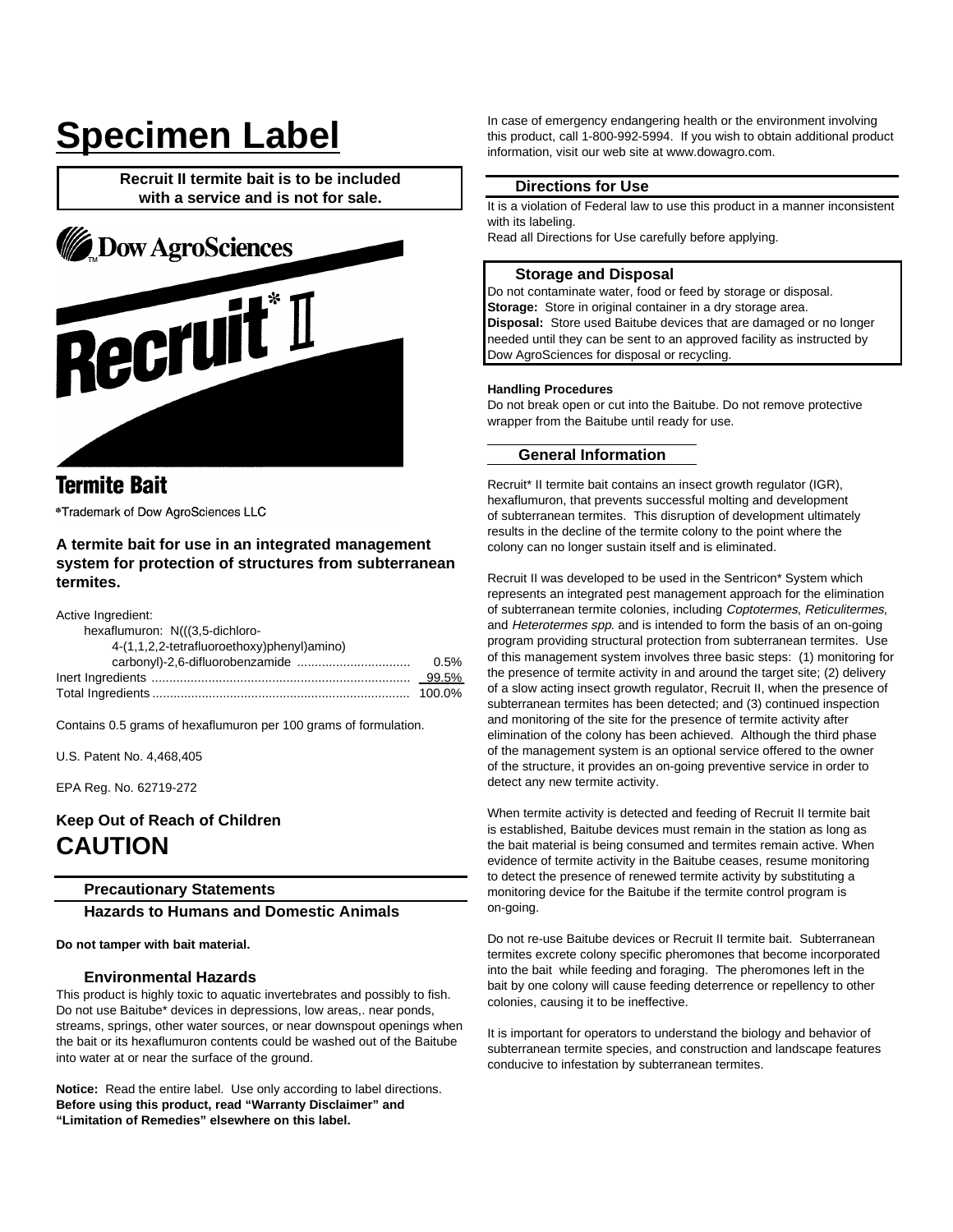# **Specimen Label**

**Recruit II termite bait is to be included with a service and is not for sale.**



# **Termite Bait**

\*Trademark of Dow AgroSciences LLC

## **A termite bait for use in an integrated management system for protection of structures from subterranean termites.**

Active Ingredient:

| hexaflumuron: N(((3,5-dichloro-            |         |
|--------------------------------------------|---------|
| 4-(1,1,2,2-tetrafluoroethoxy)phenyl)amino) |         |
|                                            | $0.5\%$ |
|                                            |         |
|                                            |         |

Contains 0.5 grams of hexaflumuron per 100 grams of formulation.

U.S. Patent No. 4,468,405

EPA Reg. No. 62719-272

## **Keep Out of Reach of Children CAUTION**

## **Precautionary Statements**

**Hazards to Humans and Domestic Animals**

#### **Do not tamper with bait material.**

#### **Environmental Hazards**

This product is highly toxic to aquatic invertebrates and possibly to fish. Do not use Baitube\* devices in depressions, low areas,. near ponds, streams, springs, other water sources, or near downspout openings when the bait or its hexaflumuron contents could be washed out of the Baitube into water at or near the surface of the ground.

**Notice:** Read the entire label. Use only according to label directions. **Before using this product, read "Warranty Disclaimer" and "Limitation of Remedies" elsewhere on this label.**

In case of emergency endangering health or the environment involving this product, call 1-800-992-5994. If you wish to obtain additional product information, visit our web site at www.dowagro.com.

## **Directions for Use**

It is a violation of Federal law to use this product in a manner inconsistent with its labeling.

Read all Directions for Use carefully before applying.

## **Storage and Disposal**

Do not contaminate water, food or feed by storage or disposal. **Storage:** Store in original container in a dry storage area. **Disposal:** Store used Baitube devices that are damaged or no longer needed until they can be sent to an approved facility as instructed by Dow AgroSciences for disposal or recycling.

#### **Handling Procedures**

Do not break open or cut into the Baitube. Do not remove protective wrapper from the Baitube until ready for use.

## **General Information**

Recruit\* II termite bait contains an insect growth regulator (IGR), hexaflumuron, that prevents successful molting and development of subterranean termites. This disruption of development ultimately results in the decline of the termite colony to the point where the colony can no longer sustain itself and is eliminated.

Recruit II was developed to be used in the Sentricon\* System which represents an integrated pest management approach for the elimination of subterranean termite colonies, including Coptotermes, Reticulitermes, and Heterotermes spp. and is intended to form the basis of an on-going program providing structural protection from subterranean termites. Use of this management system involves three basic steps: (1) monitoring for the presence of termite activity in and around the target site; (2) delivery of a slow acting insect growth regulator, Recruit II, when the presence of subterranean termites has been detected; and (3) continued inspection and monitoring of the site for the presence of termite activity after elimination of the colony has been achieved. Although the third phase of the management system is an optional service offered to the owner of the structure, it provides an on-going preventive service in order to detect any new termite activity.

When termite activity is detected and feeding of Recruit II termite bait is established, Baitube devices must remain in the station as long as the bait material is being consumed and termites remain active. When evidence of termite activity in the Baitube ceases, resume monitoring to detect the presence of renewed termite activity by substituting a monitoring device for the Baitube if the termite control program is on-going.

Do not re-use Baitube devices or Recruit II termite bait. Subterranean termites excrete colony specific pheromones that become incorporated into the bait while feeding and foraging. The pheromones left in the bait by one colony will cause feeding deterrence or repellency to other colonies, causing it to be ineffective.

It is important for operators to understand the biology and behavior of subterranean termite species, and construction and landscape features conducive to infestation by subterranean termites.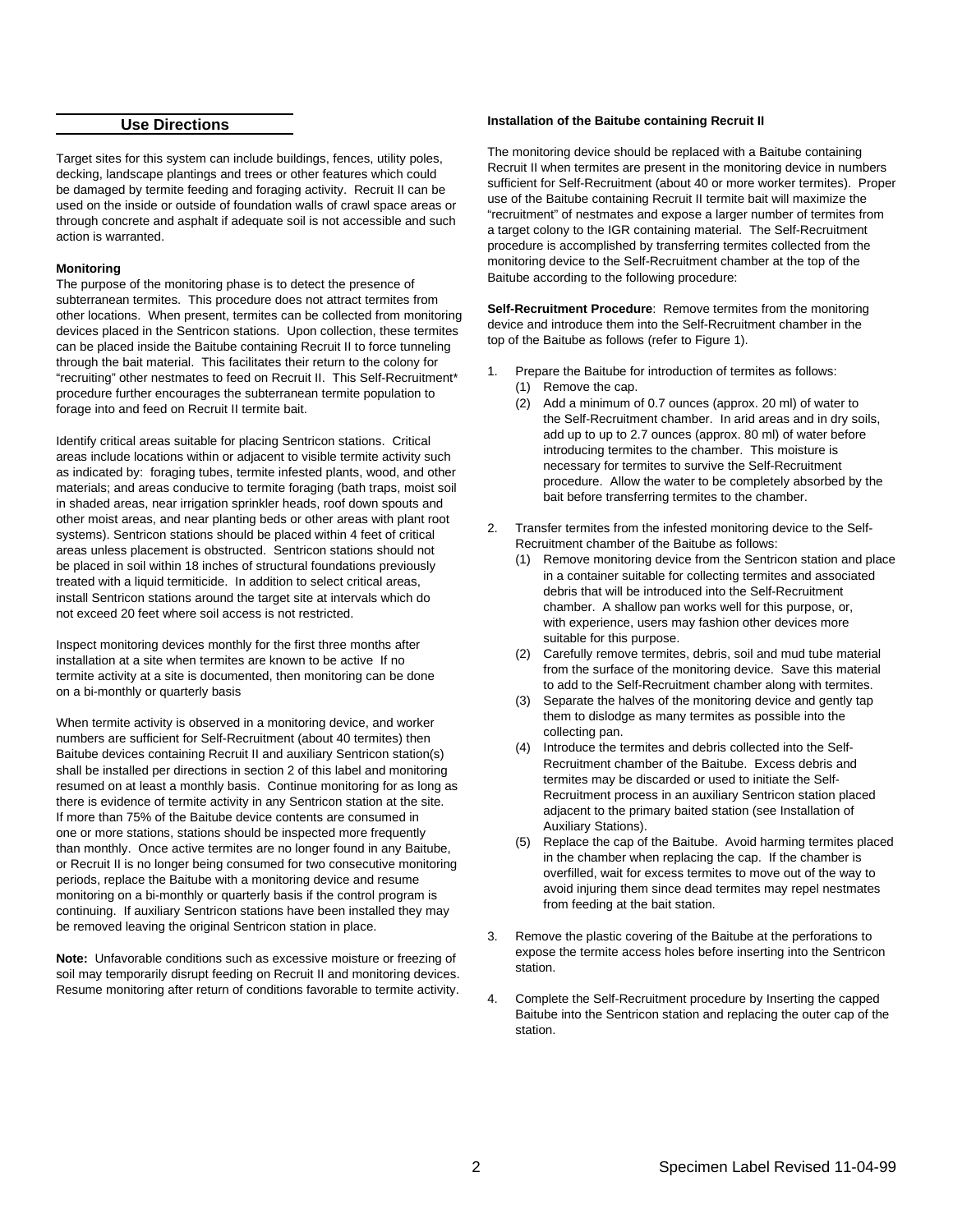## **Use Directions**

Target sites for this system can include buildings, fences, utility poles, decking, landscape plantings and trees or other features which could be damaged by termite feeding and foraging activity. Recruit II can be used on the inside or outside of foundation walls of crawl space areas or through concrete and asphalt if adequate soil is not accessible and such action is warranted.

#### **Monitoring**

The purpose of the monitoring phase is to detect the presence of subterranean termites. This procedure does not attract termites from other locations. When present, termites can be collected from monitoring devices placed in the Sentricon stations. Upon collection, these termites can be placed inside the Baitube containing Recruit II to force tunneling through the bait material. This facilitates their return to the colony for "recruiting" other nestmates to feed on Recruit II. This Self-Recruitment\* procedure further encourages the subterranean termite population to forage into and feed on Recruit II termite bait.

Identify critical areas suitable for placing Sentricon stations. Critical areas include locations within or adjacent to visible termite activity such as indicated by: foraging tubes, termite infested plants, wood, and other materials; and areas conducive to termite foraging (bath traps, moist soil in shaded areas, near irrigation sprinkler heads, roof down spouts and other moist areas, and near planting beds or other areas with plant root systems). Sentricon stations should be placed within 4 feet of critical areas unless placement is obstructed. Sentricon stations should not be placed in soil within 18 inches of structural foundations previously treated with a liquid termiticide. In addition to select critical areas, install Sentricon stations around the target site at intervals which do not exceed 20 feet where soil access is not restricted.

Inspect monitoring devices monthly for the first three months after installation at a site when termites are known to be active If no termite activity at a site is documented, then monitoring can be done on a bi-monthly or quarterly basis

When termite activity is observed in a monitoring device, and worker numbers are sufficient for Self-Recruitment (about 40 termites) then Baitube devices containing Recruit II and auxiliary Sentricon station(s) shall be installed per directions in section 2 of this label and monitoring resumed on at least a monthly basis. Continue monitoring for as long as there is evidence of termite activity in any Sentricon station at the site. If more than 75% of the Baitube device contents are consumed in one or more stations, stations should be inspected more frequently than monthly. Once active termites are no longer found in any Baitube, or Recruit II is no longer being consumed for two consecutive monitoring periods, replace the Baitube with a monitoring device and resume monitoring on a bi-monthly or quarterly basis if the control program is continuing. If auxiliary Sentricon stations have been installed they may be removed leaving the original Sentricon station in place.

**Note:** Unfavorable conditions such as excessive moisture or freezing of soil may temporarily disrupt feeding on Recruit II and monitoring devices. Resume monitoring after return of conditions favorable to termite activity.

## **Installation of the Baitube containing Recruit II**

The monitoring device should be replaced with a Baitube containing Recruit II when termites are present in the monitoring device in numbers sufficient for Self-Recruitment (about 40 or more worker termites). Proper use of the Baitube containing Recruit II termite bait will maximize the "recruitment" of nestmates and expose a larger number of termites from a target colony to the IGR containing material. The Self-Recruitment procedure is accomplished by transferring termites collected from the monitoring device to the Self-Recruitment chamber at the top of the Baitube according to the following procedure:

**Self-Recruitment Procedure**: Remove termites from the monitoring device and introduce them into the Self-Recruitment chamber in the top of the Baitube as follows (refer to Figure 1).

- 1. Prepare the Baitube for introduction of termites as follows:
	- (1) Remove the cap.
	- (2) Add a minimum of 0.7 ounces (approx. 20 ml) of water to the Self-Recruitment chamber. In arid areas and in dry soils, add up to up to 2.7 ounces (approx. 80 ml) of water before introducing termites to the chamber. This moisture is necessary for termites to survive the Self-Recruitment procedure. Allow the water to be completely absorbed by the bait before transferring termites to the chamber.
- 2. Transfer termites from the infested monitoring device to the Self-Recruitment chamber of the Baitube as follows:
	- (1) Remove monitoring device from the Sentricon station and place in a container suitable for collecting termites and associated debris that will be introduced into the Self-Recruitment chamber. A shallow pan works well for this purpose, or, with experience, users may fashion other devices more suitable for this purpose.
	- (2) Carefully remove termites, debris, soil and mud tube material from the surface of the monitoring device. Save this material to add to the Self-Recruitment chamber along with termites.
	- (3) Separate the halves of the monitoring device and gently tap them to dislodge as many termites as possible into the collecting pan.
	- (4) Introduce the termites and debris collected into the Self-Recruitment chamber of the Baitube. Excess debris and termites may be discarded or used to initiate the Self-Recruitment process in an auxiliary Sentricon station placed adjacent to the primary baited station (see Installation of Auxiliary Stations).
	- (5) Replace the cap of the Baitube. Avoid harming termites placed in the chamber when replacing the cap. If the chamber is overfilled, wait for excess termites to move out of the way to avoid injuring them since dead termites may repel nestmates from feeding at the bait station.
- 3. Remove the plastic covering of the Baitube at the perforations to expose the termite access holes before inserting into the Sentricon station.
- 4. Complete the Self-Recruitment procedure by Inserting the capped Baitube into the Sentricon station and replacing the outer cap of the station.